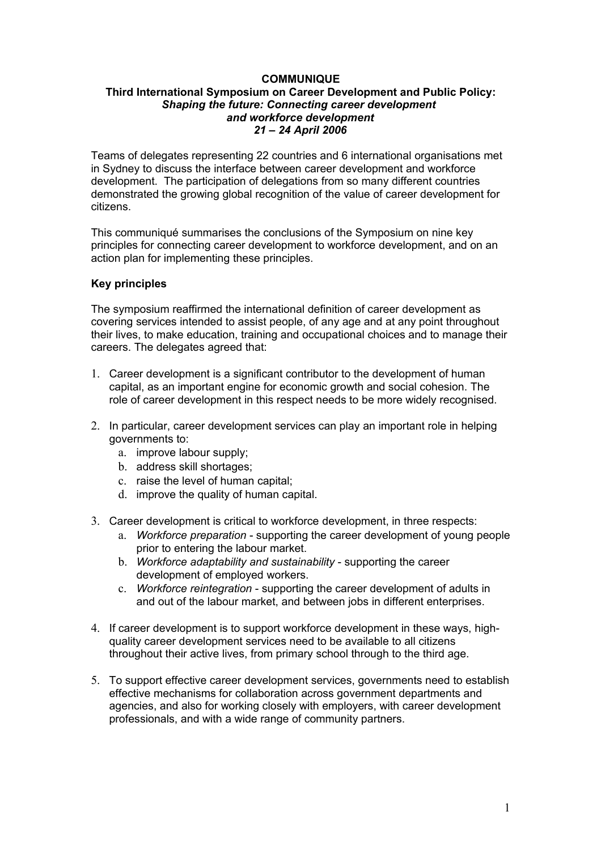# **COMMUNIQUE**

#### **Third International Symposium on Career Development and Public Policy:** *Shaping the future: Connecting career development and workforce development 21 – 24 April 2006*

Teams of delegates representing 22 countries and 6 international organisations met in Sydney to discuss the interface between career development and workforce development. The participation of delegations from so many different countries demonstrated the growing global recognition of the value of career development for citizens.

This communiqué summarises the conclusions of the Symposium on nine key principles for connecting career development to workforce development, and on an action plan for implementing these principles.

#### **Key principles**

The symposium reaffirmed the international definition of career development as covering services intended to assist people, of any age and at any point throughout their lives, to make education, training and occupational choices and to manage their careers. The delegates agreed that:

- 1. Career development is a significant contributor to the development of human capital, as an important engine for economic growth and social cohesion. The role of career development in this respect needs to be more widely recognised.
- 2. In particular, career development services can play an important role in helping governments to:
	- a. improve labour supply;
	- b. address skill shortages;
	- c. raise the level of human capital;
	- d. improve the quality of human capital.
- 3. Career development is critical to workforce development, in three respects:
	- a. *Workforce preparation* supporting the career development of young people prior to entering the labour market.
	- b. *Workforce adaptability and sustainability* supporting the career development of employed workers.
	- c. *Workforce reintegration* supporting the career development of adults in and out of the labour market, and between jobs in different enterprises.
- 4. If career development is to support workforce development in these ways, highquality career development services need to be available to all citizens throughout their active lives, from primary school through to the third age.
- 5. To support effective career development services, governments need to establish effective mechanisms for collaboration across government departments and agencies, and also for working closely with employers, with career development professionals, and with a wide range of community partners.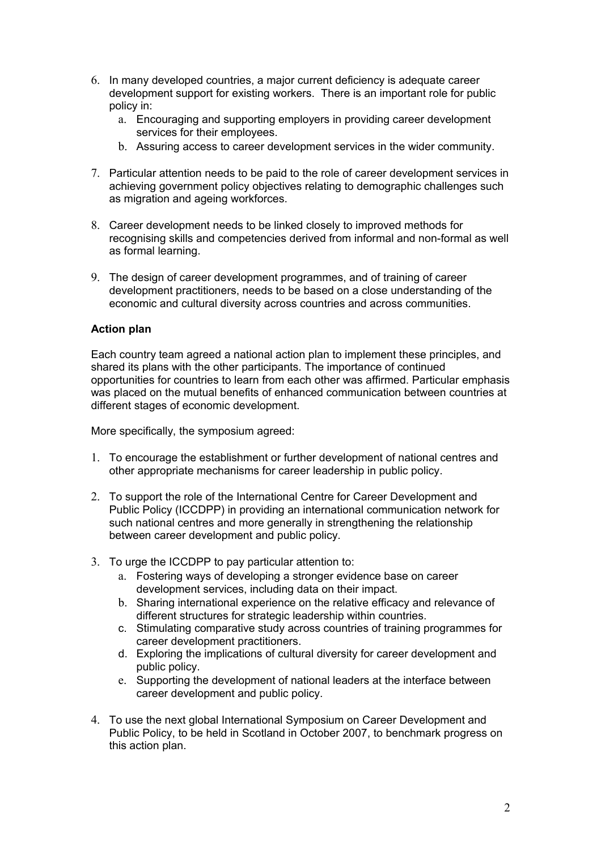- 6. In many developed countries, a major current deficiency is adequate career development support for existing workers. There is an important role for public policy in:
	- a. Encouraging and supporting employers in providing career development services for their employees.
	- b. Assuring access to career development services in the wider community.
- 7. Particular attention needs to be paid to the role of career development services in achieving government policy objectives relating to demographic challenges such as migration and ageing workforces.
- 8. Career development needs to be linked closely to improved methods for recognising skills and competencies derived from informal and non-formal as well as formal learning.
- 9. The design of career development programmes, and of training of career development practitioners, needs to be based on a close understanding of the economic and cultural diversity across countries and across communities.

# **Action plan**

Each country team agreed a national action plan to implement these principles, and shared its plans with the other participants. The importance of continued opportunities for countries to learn from each other was affirmed. Particular emphasis was placed on the mutual benefits of enhanced communication between countries at different stages of economic development.

More specifically, the symposium agreed:

- 1. To encourage the establishment or further development of national centres and other appropriate mechanisms for career leadership in public policy.
- 2. To support the role of the International Centre for Career Development and Public Policy (ICCDPP) in providing an international communication network for such national centres and more generally in strengthening the relationship between career development and public policy.
- 3. To urge the ICCDPP to pay particular attention to:
	- a. Fostering ways of developing a stronger evidence base on career development services, including data on their impact.
	- b. Sharing international experience on the relative efficacy and relevance of different structures for strategic leadership within countries.
	- c. Stimulating comparative study across countries of training programmes for career development practitioners.
	- d. Exploring the implications of cultural diversity for career development and public policy.
	- e. Supporting the development of national leaders at the interface between career development and public policy.
- 4. To use the next global International Symposium on Career Development and Public Policy, to be held in Scotland in October 2007, to benchmark progress on this action plan.